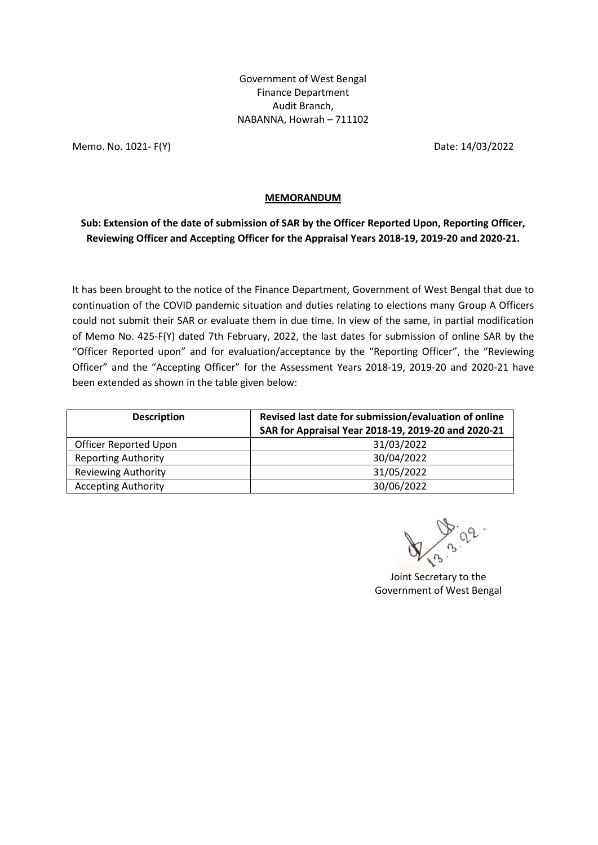Government of West Bengal Finance Department Audit Branch, NABANNA, Howrah – 711102

Memo. No. 1021- F(Y) Date: 14/03/2022

## **MEMORANDUM**

**Sub: Extension of the date of submission of SAR by the Officer Reported Upon, Reporting Officer, Reviewing Officer and Accepting Officer for the Appraisal Years 2018-19, 2019-20 and 2020-21.**

It has been brought to the notice of the Finance Department, Government of West Bengal that due to continuation of the COVID pandemic situation and duties relating to elections many Group A Officers could not submit their SAR or evaluate them in due time. In view of the same, in partial modification of Memo No. 425-F(Y) dated 7th February, 2022, the last dates for submission of online SAR by the "Officer Reported upon" and for evaluation/acceptance by the "Reporting Officer", the "Reviewing Officer" and the "Accepting Officer" for the Assessment Years 2018-19, 2019-20 and 2020-21 have been extended as shown in the table given below:

| <b>Description</b>         | Revised last date for submission/evaluation of online<br>SAR for Appraisal Year 2018-19, 2019-20 and 2020-21 |
|----------------------------|--------------------------------------------------------------------------------------------------------------|
| Officer Reported Upon      | 31/03/2022                                                                                                   |
| <b>Reporting Authority</b> | 30/04/2022                                                                                                   |
| <b>Reviewing Authority</b> | 31/05/2022                                                                                                   |
| <b>Accepting Authority</b> | 30/06/2022                                                                                                   |

Joint Secretary to the Government of West Bengal